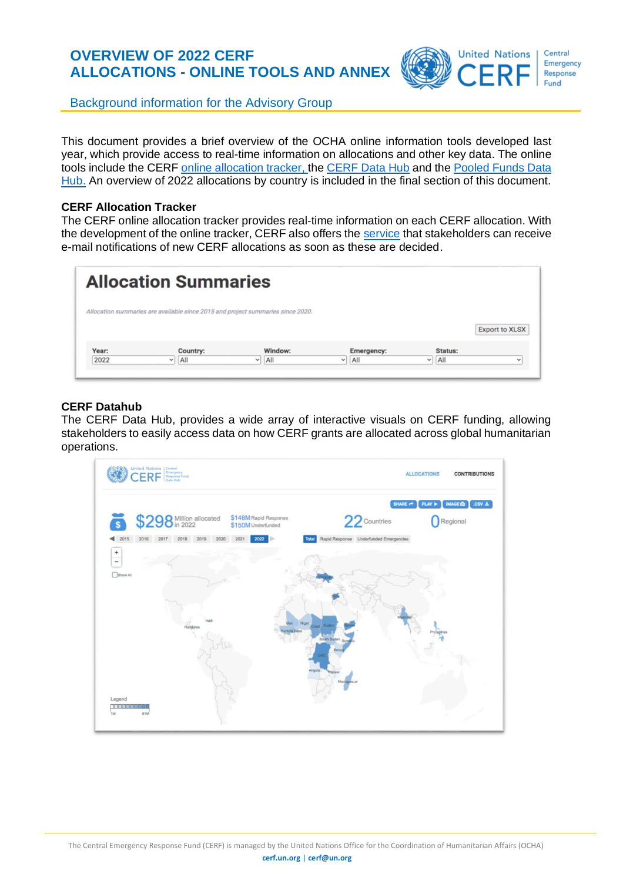# **OVERVIEW OF 2022 CERF ALLOCATIONS - ONLINE TOOLS AND ANNEX**



Background information for the Advisory Group

This document provides a brief overview of the OCHA online information tools developed last year, which provide access to real-time information on allocations and other key data. The online tools include the CERF [online allocation tracker,](https://cerf.un.org/what-we-do/allocation-summaries) the [CERF Data Hub](https://cerf.data.unocha.org/) and the Pooled Funds Data [Hub.](https://pfdata.unocha.org/) An overview of 2022 allocations by country is included in the final section of this document.

#### **CERF Allocation Tracker**

The CERF [online allocation tracker](https://cerf.un.org/what-we-do/allocation-summaries) provides real-time information on each CERF allocation. With the development of the online tracker, CERF also offers the [service](https://unocha.us2.list-manage.com/subscribe?u=83487eb1105d72ff2427e4bd7&id=45c7147865) that stakeholders can receive e-mail notifications of new CERF allocations as soon as these are decided.

| <b>Allocation Summaries</b> |          |                                                                                 |                   |  |         |                       |  |  |  |
|-----------------------------|----------|---------------------------------------------------------------------------------|-------------------|--|---------|-----------------------|--|--|--|
|                             |          | Allocation summaries are available since 2015 and project summaries since 2020. |                   |  |         |                       |  |  |  |
|                             |          |                                                                                 |                   |  |         | <b>Export to XLSX</b> |  |  |  |
| Year:                       | Country: | Window:                                                                         | <b>Emergency:</b> |  | Status: |                       |  |  |  |

#### **CERF Datahub**

The [CERF Data Hub,](https://cerf.data.unocha.org/) provides a wide array of interactive visuals on CERF funding, allowing stakeholders to easily access data on how CERF grants are allocated across global humanitarian operations.

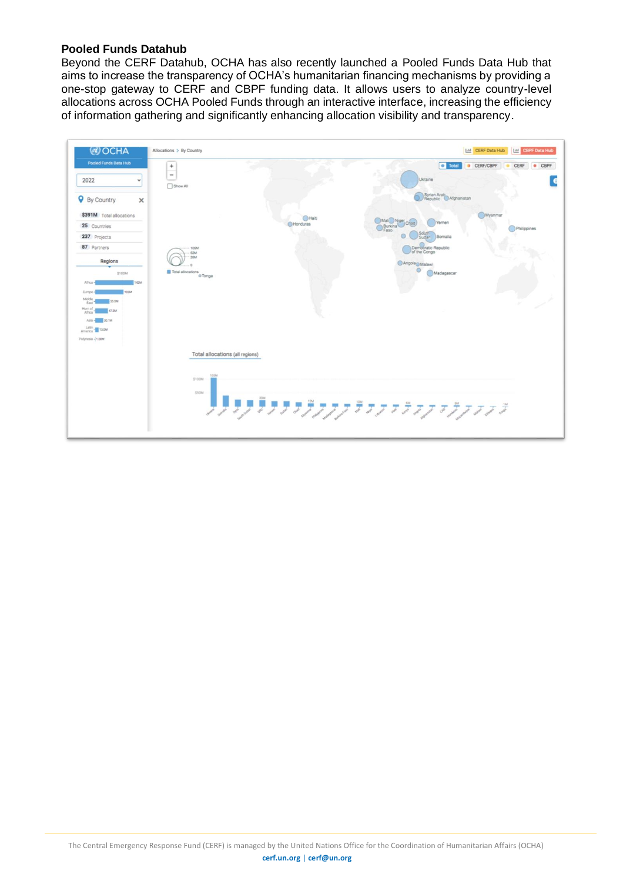### **Pooled Funds Datahub**

Beyond the CERF Datahub, OCHA has also recently launched a [Pooled Funds Data Hub](https://pfdata.unocha.org/) that aims to increase the transparency of OCHA's humanitarian financing mechanisms by providing a one-stop gateway to CERF and CBPF funding data. It allows users to analyze country-level allocations across OCHA Pooled Funds through an interactive interface, increasing the efficiency of information gathering and significantly enhancing allocation visibility and transparency.